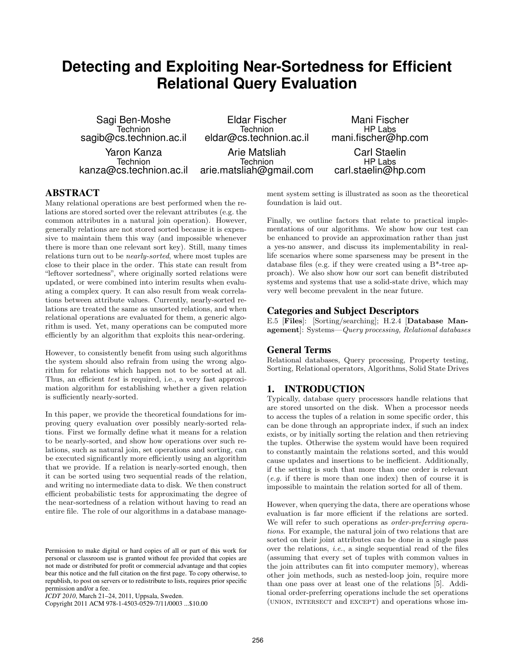# **Detecting and Exploiting Near-Sortedness for Efficient Relational Query Evaluation**

Sagi Ben-Moshe **Technion** sagib@cs.technion.ac.il

Yaron Kanza **Technion** kanza@cs.technion.ac.il

Eldar Fischer **Technion** eldar@cs.technion.ac.il

Arie Matsliah Technion arie.matsliah@gmail.com

Mani Fischer HP Labs mani.fischer@hp.com

Carl Staelin HP Labs carl.staelin@hp.com

# ABSTRACT

Many relational operations are best performed when the relations are stored sorted over the relevant attributes (e.g. the common attributes in a natural join operation). However, generally relations are not stored sorted because it is expensive to maintain them this way (and impossible whenever there is more than one relevant sort key). Still, many times relations turn out to be nearly-sorted, where most tuples are close to their place in the order. This state can result from "leftover sortedness", where originally sorted relations were updated, or were combined into interim results when evaluating a complex query. It can also result from weak correlations between attribute values. Currently, nearly-sorted relations are treated the same as unsorted relations, and when relational operations are evaluated for them, a generic algorithm is used. Yet, many operations can be computed more efficiently by an algorithm that exploits this near-ordering.

However, to consistently benefit from using such algorithms the system should also refrain from using the wrong algorithm for relations which happen not to be sorted at all. Thus, an efficient test is required, i.e., a very fast approximation algorithm for establishing whether a given relation is sufficiently nearly-sorted.

In this paper, we provide the theoretical foundations for improving query evaluation over possibly nearly-sorted relations. First we formally define what it means for a relation to be nearly-sorted, and show how operations over such relations, such as natural join, set operations and sorting, can be executed significantly more efficiently using an algorithm that we provide. If a relation is nearly-sorted enough, then it can be sorted using two sequential reads of the relation, and writing no intermediate data to disk. We then construct efficient probabilistic tests for approximating the degree of the near-sortedness of a relation without having to read an entire file. The role of our algorithms in a database manage-

Copyright 2011 ACM 978-1-4503-0529-7/11/0003 ...\$10.00

ment system setting is illustrated as soon as the theoretical foundation is laid out.

Finally, we outline factors that relate to practical implementations of our algorithms. We show how our test can be enhanced to provide an approximation rather than just a yes-no answer, and discuss its implementability in reallife scenarios where some sparseness may be present in the database files (e.g. if they were created using a B\*-tree approach). We also show how our sort can benefit distributed systems and systems that use a solid-state drive, which may very well become prevalent in the near future.

## Categories and Subject Descriptors

E.5 [Files]: [Sorting/searching]; H.2.4 [Database Management]: Systems—Query processing, Relational databases

#### General Terms

Relational databases, Query processing, Property testing, Sorting, Relational operators, Algorithms, Solid State Drives

# 1. INTRODUCTION

Typically, database query processors handle relations that are stored unsorted on the disk. When a processor needs to access the tuples of a relation in some specific order, this can be done through an appropriate index, if such an index exists, or by initially sorting the relation and then retrieving the tuples. Otherwise the system would have been required to constantly maintain the relations sorted, and this would cause updates and insertions to be inefficient. Additionally, if the setting is such that more than one order is relevant (e.g. if there is more than one index) then of course it is impossible to maintain the relation sorted for all of them.

However, when querying the data, there are operations whose evaluation is far more efficient if the relations are sorted. We will refer to such operations as *order-preferring opera*tions. For example, the natural join of two relations that are sorted on their joint attributes can be done in a single pass over the relations, *i.e.*, a single sequential read of the files (assuming that every set of tuples with common values in the join attributes can fit into computer memory), whereas other join methods, such as nested-loop join, require more than one pass over at least one of the relations [5]. Additional order-preferring operations include the set operations (union, intersect and except) and operations whose im-

Permission to make digital or hard copies of all or part of this work for personal or classroom use is granted without fee provided that copies are not made or distributed for profit or commercial advantage and that copies bear this notice and the full citation on the first page. To copy otherwise, to republish, to post on servers or to redistribute to lists, requires prior specific permission and/or a fee.

*ICDT 2010*, March 21–24, 2011, Uppsala, Sweden.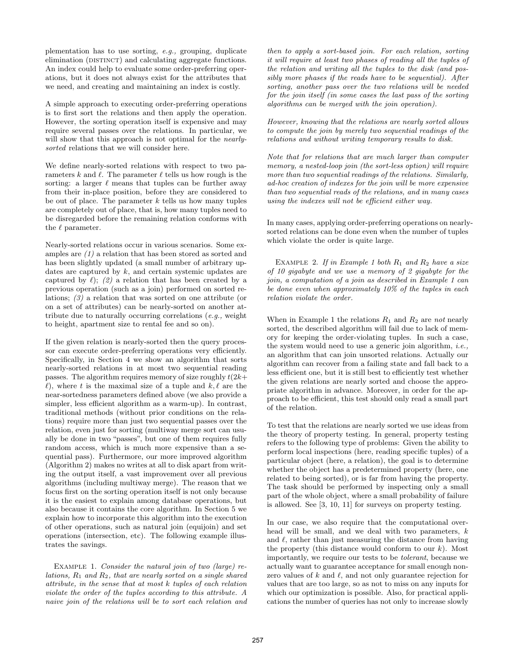plementation has to use sorting, e.g., grouping, duplicate elimination (DISTINCT) and calculating aggregate functions. An index could help to evaluate some order-preferring operations, but it does not always exist for the attributes that we need, and creating and maintaining an index is costly.

A simple approach to executing order-preferring operations is to first sort the relations and then apply the operation. However, the sorting operation itself is expensive and may require several passes over the relations. In particular, we will show that this approach is not optimal for the *nearly*sorted relations that we will consider here.

We define nearly-sorted relations with respect to two parameters k and  $\ell$ . The parameter  $\ell$  tells us how rough is the sorting: a larger  $\ell$  means that tuples can be further away from their in-place position, before they are considered to be out of place. The parameter  $k$  tells us how many tuples are completely out of place, that is, how many tuples need to be disregarded before the remaining relation conforms with the  $\ell$  parameter.

Nearly-sorted relations occur in various scenarios. Some examples are (1) a relation that has been stored as sorted and has been slightly updated (a small number of arbitrary updates are captured by k, and certain systemic updates are captured by  $\ell$ ); (2) a relation that has been created by a previous operation (such as a join) performed on sorted relations; (3) a relation that was sorted on one attribute (or on a set of attributes) can be nearly-sorted on another attribute due to naturally occurring correlations  $(e.g.,$  weight to height, apartment size to rental fee and so on).

If the given relation is nearly-sorted then the query processor can execute order-preferring operations very efficiently. Specifically, in Section 4 we show an algorithm that sorts nearly-sorted relations in at most two sequential reading passes. The algorithm requires memory of size roughly  $t(2k+$  $\ell$ ), where t is the maximal size of a tuple and  $k, \ell$  are the near-sortedness parameters defined above (we also provide a simpler, less efficient algorithm as a warm-up). In contrast, traditional methods (without prior conditions on the relations) require more than just two sequential passes over the relation, even just for sorting (multiway merge sort can usually be done in two "passes", but one of them requires fully random access, which is much more expensive than a sequential pass). Furthermore, our more improved algorithm (Algorithm 2) makes no writes at all to disk apart from writing the output itself, a vast improvement over all previous algorithms (including multiway merge). The reason that we focus first on the sorting operation itself is not only because it is the easiest to explain among database operations, but also because it contains the core algorithm. In Section 5 we explain how to incorporate this algorithm into the execution of other operations, such as natural join (equijoin) and set operations (intersection, etc). The following example illustrates the savings.

EXAMPLE 1. Consider the natural join of two (large) relations,  $R_1$  and  $R_2$ , that are nearly sorted on a single shared attribute, in the sense that at most k tuples of each relation violate the order of the tuples according to this attribute. A naive join of the relations will be to sort each relation and

then to apply a sort-based join. For each relation, sorting it will require at least two phases of reading all the tuples of the relation and writing all the tuples to the disk (and possibly more phases if the reads have to be sequential). After sorting, another pass over the two relations will be needed for the join itself (in some cases the last pass of the sorting algorithms can be merged with the join operation).

However, knowing that the relations are nearly sorted allows to compute the join by merely two sequential readings of the relations and without writing temporary results to disk.

Note that for relations that are much larger than computer memory, a nested-loop join (the sort-less option) will require more than two sequential readings of the relations. Similarly, ad-hoc creation of indexes for the join will be more expensive than two sequential reads of the relations, and in many cases using the indexes will not be efficient either way.

In many cases, applying order-preferring operations on nearlysorted relations can be done even when the number of tuples which violate the order is quite large.

EXAMPLE 2. If in Example 1 both  $R_1$  and  $R_2$  have a size of 10 gigabyte and we use a memory of 2 gigabyte for the join, a computation of a join as described in Example 1 can be done even when approximately 10% of the tuples in each relation violate the order.

When in Example 1 the relations  $R_1$  and  $R_2$  are not nearly sorted, the described algorithm will fail due to lack of memory for keeping the order-violating tuples. In such a case, the system would need to use a generic join algorithm, i.e., an algorithm that can join unsorted relations. Actually our algorithm can recover from a failing state and fall back to a less efficient one, but it is still best to efficiently test whether the given relations are nearly sorted and choose the appropriate algorithm in advance. Moreover, in order for the approach to be efficient, this test should only read a small part of the relation.

To test that the relations are nearly sorted we use ideas from the theory of property testing. In general, property testing refers to the following type of problems: Given the ability to perform local inspections (here, reading specific tuples) of a particular object (here, a relation), the goal is to determine whether the object has a predetermined property (here, one related to being sorted), or is far from having the property. The task should be performed by inspecting only a small part of the whole object, where a small probability of failure is allowed. See [3, 10, 11] for surveys on property testing.

In our case, we also require that the computational overhead will be small, and we deal with two parameters, k and  $\ell$ , rather than just measuring the distance from having the property (this distance would conform to our  $k$ ). Most importantly, we require our tests to be tolerant, because we actually want to guarantee acceptance for small enough nonzero values of  $k$  and  $\ell$ , and not only guarantee rejection for values that are too large, so as not to miss on any inputs for which our optimization is possible. Also, for practical applications the number of queries has not only to increase slowly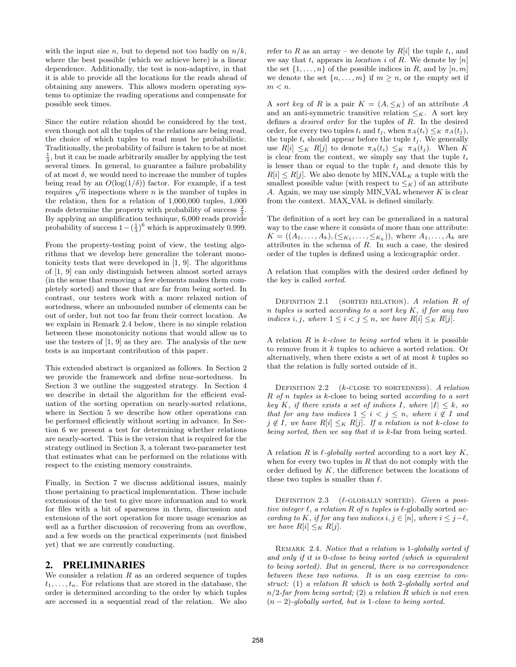with the input size n, but to depend not too badly on  $n/k$ , where the best possible (which we achieve here) is a linear dependence. Additionally, the test is non-adaptive, in that it is able to provide all the locations for the reads ahead of obtaining any answers. This allows modern operating systems to optimize the reading operations and compensate for possible seek times.

Since the entire relation should be considered by the test, even though not all the tuples of the relations are being read, the choice of which tuples to read must be probabilistic. Traditionally, the probability of failure is taken to be at most  $\frac{1}{3}$ , but it can be made arbitrarily smaller by applying the test several times. In general, to guarantee a failure probability of at most  $\delta$ , we would need to increase the number of tuples being read by an  $O(\log(1/\delta))$  factor. For example, if a test being read by an  $O(\log(1/\theta))$  ractor. For example, it a test<br>requires  $\sqrt{n}$  inspections where *n* is the number of tuples in the relation, then for a relation of 1,000,000 tuples, 1,000 reads determine the property with probability of success  $\frac{2}{3}$ . By applying an amplification technique, 6,000 reads provide probability of success  $1 - (\frac{1}{3})^6$  which is approximately 0.999.

From the property-testing point of view, the testing algorithms that we develop here generalize the tolerant monotonicity tests that were developed in [1, 9]. The algorithms of [1, 9] can only distinguish between almost sorted arrays (in the sense that removing a few elements makes them completely sorted) and those that are far from being sorted. In contrast, our testers work with a more relaxed notion of sortedness, where an unbounded number of elements can be out of order, but not too far from their correct location. As we explain in Remark 2.4 below, there is no simple relation between these monotonicity notions that would allow us to use the testers of [1, 9] as they are. The analysis of the new tests is an important contribution of this paper.

This extended abstract is organized as follows. In Section 2 we provide the framework and define near-sortedness. In Section 3 we outline the suggested strategy. In Section 4 we describe in detail the algorithm for the efficient evaluation of the sorting operation on nearly-sorted relations, where in Section 5 we describe how other operations can be performed efficiently without sorting in advance. In Section 6 we present a test for determining whether relations are nearly-sorted. This is the version that is required for the strategy outlined in Section 3, a tolerant two-parameter test that estimates what can be performed on the relations with respect to the existing memory constraints.

Finally, in Section 7 we discuss additional issues, mainly those pertaining to practical implementation. These include extensions of the test to give more information and to work for files with a bit of sparseness in them, discussion and extensions of the sort operation for more usage scenarios as well as a further discussion of recovering from an overflow, and a few words on the practical experiments (not finished yet) that we are currently conducting.

# 2. PRELIMINARIES

We consider a relation  $R$  as an ordered sequence of tuples  $t_1, \ldots, t_n$ . For relations that are stored in the database, the order is determined according to the order by which tuples are accessed in a sequential read of the relation. We also refer to R as an array – we denote by  $R[i]$  the tuple  $t_i$ , and we say that  $t_i$  appears in *location* i of R. We denote by [n] the set  $\{1, \ldots, n\}$  of the possible indices in R, and by  $[n, m]$ we denote the set  $\{n, \ldots, m\}$  if  $m \geq n$ , or the empty set if  $m < n$ .

A sort key of R is a pair  $K = (A, \leq_K)$  of an attribute A and an anti-symmetric transitive relation  $\leq_K$ . A sort key defines a desired order for the tuples of R. In the desired order, for every two tuples  $t_i$  and  $t_j$ , when  $\pi_A(t_i) \leq_K \pi_A(t_j)$ , the tuple  $t_i$  should appear before the tuple  $t_j$ . We generally use  $R[i] \leq_K R[j]$  to denote  $\pi_A(t_i) \leq_K \pi_A(t_j)$ . When K is clear from the context, we simply say that the tuple  $t_i$ is lesser than or equal to the tuple  $t_i$  and denote this by  $R[i] \leq R[j]$ . We also denote by MIN\_VAL<sub>K</sub> a tuple with the smallest possible value (with respect to  $\leq_K$ ) of an attribute A. Again, we may use simply MIN\_VAL whenever  $K$  is clear from the context. MAX\_VAL is defined similarly.

The definition of a sort key can be generalized in a natural way to the case where it consists of more than one attribute:  $K = ((A_1, \ldots, A_k), (\leq K_1, \ldots, \leq K_k)),$  where  $A_1, \ldots, A_k$  are attributes in the schema of R. In such a case, the desired order of the tuples is defined using a lexicographic order.

A relation that complies with the desired order defined by the key is called sorted.

DEFINITION 2.1 (SORTED RELATION). A relation  $R$  of n tuples is sorted according to a sort key  $K$ , if for any two indices i, j, where  $1 \leq i < j \leq n$ , we have  $R[i] \leq_K R[j]$ .

A relation  $R$  is  $k$ -close to being sorted when it is possible to remove from it k tuples to achieve a sorted relation. Or alternatively, when there exists a set of at most  $k$  tuples so that the relation is fully sorted outside of it.

DEFINITION  $2.2$  (*k*-CLOSE TO SORTEDNESS). A relation R of n tuples is k-close to being sorted according to a sort key K, if there exists a set of indices I, where  $|I| \leq k$ , so that for any two indices  $1 \leq i \leq j \leq n$ , where  $i \notin I$  and  $j \notin I$ , we have  $R[i] \leq_K R[j]$ . If a relation is not k-close to being sorted, then we say that it is k-far from being sorted.

A relation R is  $\ell$ -globally sorted according to a sort key K, when for every two tuples in  $R$  that do not comply with the order defined by  $K$ , the difference between the locations of these two tuples is smaller than  $\ell$ .

DEFINITION 2.3  $(\ell$ -GLOBALLY SORTED). Given a positive integer  $\ell$ , a relation R of n tuples is  $\ell$ -globally sorted according to K, if for any two indices  $i, j \in [n]$ , where  $i \leq j - \ell$ , we have  $R[i] \leq_K R[j]$ .

REMARK 2.4. Notice that a relation is 1-globally sorted if and only if it is 0-close to being sorted (which is equivalent to being sorted). But in general, there is no correspondence between these two notions. It is an easy exercise to construct: (1) a relation R which is both 2-globally sorted and  $n/2$ -far from being sorted; (2) a relation R which is not even  $(n-2)$ -globally sorted, but is 1-close to being sorted.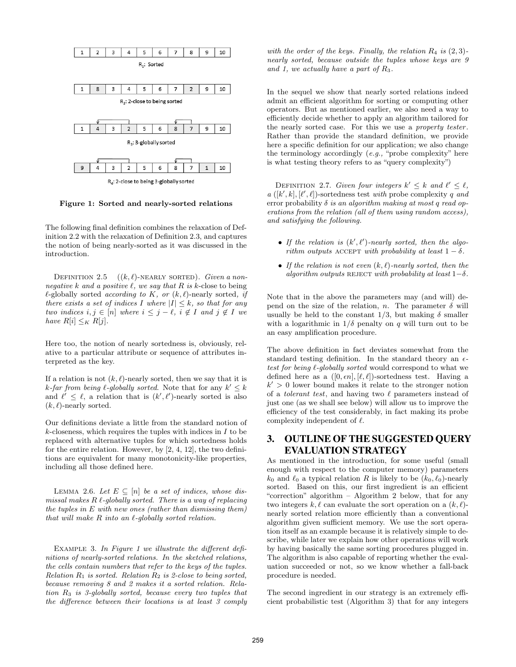

Figure 1: Sorted and nearly-sorted relations

The following final definition combines the relaxation of Definition 2.2 with the relaxation of Definition 2.3, and captures the notion of being nearly-sorted as it was discussed in the introduction.

DEFINITION 2.5  $((k, \ell)$ -NEARLY SORTED). Given a nonnegative k and a positive  $\ell$ , we say that R is k-close to being  $\ell$ -globally sorted according to K, or  $(k, \ell)$ -nearly sorted, if there exists a set of indices I where  $|I| \leq k$ , so that for any two indices  $i, j \in [n]$  where  $i \leq j - \ell$ ,  $i \notin I$  and  $j \notin I$  we have  $R[i] \leq_K R[j]$ .

Here too, the notion of nearly sortedness is, obviously, relative to a particular attribute or sequence of attributes interpreted as the key.

If a relation is not  $(k, \ell)$ -nearly sorted, then we say that it is k-far from being  $\ell$ -globally sorted. Note that for any  $k' \leq k$ and  $\ell' \leq \ell$ , a relation that is  $(k', \ell')$ -nearly sorted is also  $(k, \ell)$ -nearly sorted.

Our definitions deviate a little from the standard notion of  $k$ -closeness, which requires the tuples with indices in  $I$  to be replaced with alternative tuples for which sortedness holds for the entire relation. However, by [2, 4, 12], the two definitions are equivalent for many monotonicity-like properties, including all those defined here.

LEMMA 2.6. Let  $E \subseteq [n]$  be a set of indices, whose dismissal makes  $R \ell$ -globally sorted. There is a way of replacing the tuples in E with new ones (rather than dismissing them) that will make  $R$  into an  $\ell$ -globally sorted relation.

EXAMPLE 3. In Figure 1 we illustrate the different definitions of nearly-sorted relations. In the sketched relations, the cells contain numbers that refer to the keys of the tuples. Relation  $R_1$  is sorted. Relation  $R_2$  is 2-close to being sorted, because removing 8 and 2 makes it a sorted relation. Rela $tion R<sub>3</sub>$  is 3-globally sorted, because every two tuples that the difference between their locations is at least 3 comply with the order of the keys. Finally, the relation  $R_4$  is  $(2,3)$ nearly sorted, because outside the tuples whose keys are 9 and 1, we actually have a part of  $R_3$ .

In the sequel we show that nearly sorted relations indeed admit an efficient algorithm for sorting or computing other operators. But as mentioned earlier, we also need a way to efficiently decide whether to apply an algorithm tailored for the nearly sorted case. For this we use a *property tester*. Rather than provide the standard definition, we provide here a specific definition for our application; we also change the terminology accordingly (e.g., "probe complexity" here is what testing theory refers to as "query complexity")

DEFINITION 2.7. Given four integers  $k' \leq k$  and  $\ell' \leq \ell$ , a ( $[k', k], [\ell', \ell]$ )-sortedness test with probe complexity q and error probability  $\delta$  is an algorithm making at most q read operations from the relation (all of them using random access), and satisfying the following.

- If the relation is  $(k', \ell')$ -nearly sorted, then the algorithm outputs  $\Lambda$ CCEPT with probability at least  $1 - \delta$ .
- If the relation is not even  $(k, \ell)$ -nearly sorted, then the algorithm outputs REJECT with probability at least  $1-\delta$ .

Note that in the above the parameters may (and will) depend on the size of the relation, n. The parameter  $\delta$  will usually be held to the constant  $1/3$ , but making  $\delta$  smaller with a logarithmic in  $1/\delta$  penalty on q will turn out to be an easy amplification procedure.

The above definition in fact deviates somewhat from the standard testing definition. In the standard theory and  $\epsilon$ test for being  $\ell$ -globally sorted would correspond to what we defined here as a  $([0, \epsilon n], [\ell, \ell])$ -sortedness test. Having a  $k' > 0$  lower bound makes it relate to the stronger notion of a *tolerant test*, and having two  $\ell$  parameters instead of just one (as we shall see below) will allow us to improve the efficiency of the test considerably, in fact making its probe complexity independent of  $\ell$ .

# 3. OUTLINE OF THE SUGGESTED QUERY EVALUATION STRATEGY

As mentioned in the introduction, for some useful (small enough with respect to the computer memory) parameters  $k_0$  and  $\ell_0$  a typical relation R is likely to be  $(k_0, \ell_0)$ -nearly sorted. Based on this, our first ingredient is an efficient "correction" algorithm – Algorithm 2 below, that for any two integers k,  $\ell$  can evaluate the sort operation on a  $(k, \ell)$ nearly sorted relation more efficiently than a conventional algorithm given sufficient memory. We use the sort operation itself as an example because it is relatively simple to describe, while later we explain how other operations will work by having basically the same sorting procedures plugged in. The algorithm is also capable of reporting whether the evaluation succeeded or not, so we know whether a fall-back procedure is needed.

The second ingredient in our strategy is an extremely efficient probabilistic test (Algorithm 3) that for any integers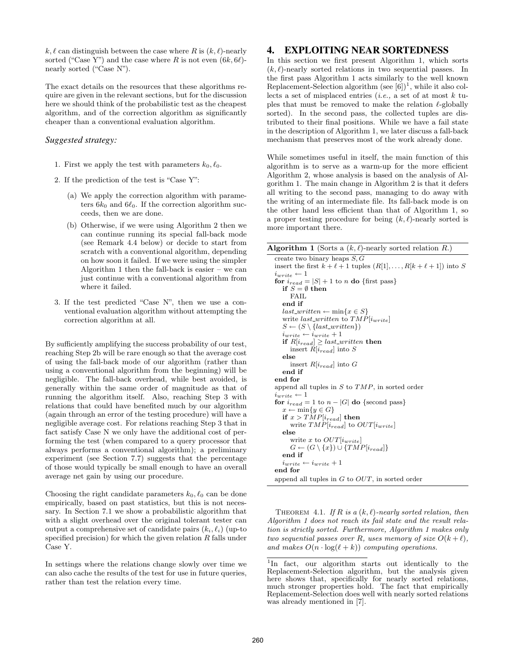k,  $\ell$  can distinguish between the case where R is  $(k, \ell)$ -nearly sorted ("Case Y") and the case where R is not even  $(6k, 6\ell)$ nearly sorted ("Case N").

The exact details on the resources that these algorithms require are given in the relevant sections, but for the discussion here we should think of the probabilistic test as the cheapest algorithm, and of the correction algorithm as significantly cheaper than a conventional evaluation algorithm.

#### *Suggested strategy:*

- 1. First we apply the test with parameters  $k_0, \ell_0$ .
- 2. If the prediction of the test is "Case Y":
	- (a) We apply the correction algorithm with parameters  $6k_0$  and  $6\ell_0$ . If the correction algorithm succeeds, then we are done.
	- (b) Otherwise, if we were using Algorithm 2 then we can continue running its special fall-back mode (see Remark 4.4 below) or decide to start from scratch with a conventional algorithm, depending on how soon it failed. If we were using the simpler Algorithm 1 then the fall-back is easier – we can just continue with a conventional algorithm from where it failed.
- 3. If the test predicted "Case N", then we use a conventional evaluation algorithm without attempting the correction algorithm at all.

By sufficiently amplifying the success probability of our test, reaching Step 2b will be rare enough so that the average cost of using the fall-back mode of our algorithm (rather than using a conventional algorithm from the beginning) will be negligible. The fall-back overhead, while best avoided, is generally within the same order of magnitude as that of running the algorithm itself. Also, reaching Step 3 with relations that could have benefited much by our algorithm (again through an error of the testing procedure) will have a negligible average cost. For relations reaching Step 3 that in fact satisfy Case N we only have the additional cost of performing the test (when compared to a query processor that always performs a conventional algorithm); a preliminary experiment (see Section 7.7) suggests that the percentage of those would typically be small enough to have an overall average net gain by using our procedure.

Choosing the right candidate parameters  $k_0, \ell_0$  can be done empirically, based on past statistics, but this is not necessary. In Section 7.1 we show a probabilistic algorithm that with a slight overhead over the original tolerant tester can output a comprehensive set of candidate pairs  $(k_i, \ell_i)$  (up-to specified precision) for which the given relation  $R$  falls under Case Y.

In settings where the relations change slowly over time we can also cache the results of the test for use in future queries, rather than test the relation every time.

## 4. EXPLOITING NEAR SORTEDNESS

In this section we first present Algorithm 1, which sorts  $(k, \ell)$ -nearly sorted relations in two sequential passes. In the first pass Algorithm 1 acts similarly to the well known Replacement-Selection algorithm (see  $[6]$ )<sup>1</sup>, while it also collects a set of misplaced entries (*i.e.*, a set of at most  $k$  tuples that must be removed to make the relation  $\ell$ -globally sorted). In the second pass, the collected tuples are distributed to their final positions. While we have a fail state in the description of Algorithm 1, we later discuss a fall-back mechanism that preserves most of the work already done.

While sometimes useful in itself, the main function of this algorithm is to serve as a warm-up for the more efficient Algorithm 2, whose analysis is based on the analysis of Algorithm 1. The main change in Algorithm 2 is that it defers all writing to the second pass, managing to do away with the writing of an intermediate file. Its fall-back mode is on the other hand less efficient than that of Algorithm 1, so a proper testing procedure for being  $(k, \ell)$ -nearly sorted is more important there.

| <b>Algorithm 1</b> (Sorts a $(k, \ell)$ -nearly sorted relation R.)             |
|---------------------------------------------------------------------------------|
| create two binary heaps $S, G$                                                  |
| insert the first $k + \ell + 1$ tuples $(R[1], \ldots, R[k + \ell + 1])$ into S |

 $i_{write} \leftarrow 1$ for  $i_{read} = |S| + 1$  to n do {first pass} if  $S = \emptyset$  then FAIL end if  $last\_written \leftarrow min\{x \in S\}$ write last\_written to  $TMP[i_{write}]$  $S \leftarrow (S \setminus \{last\_written\})$  $i_{write} \leftarrow i_{write} + 1$ if  $R[i_{read}] \geq last\_written$  then insert  $R[i_{read}]$  into S else insert  $R[i_{read}]$  into G end if end for append all tuples in  $S$  to  $TMP$ , in sorted order  $i_{write} \leftarrow 1$ for  $i_{read} = 1$  to  $n - |G|$  do {second pass}  $x \leftarrow \min\{y \in G\}$ if  $x > TMP[i_{read}]$  then write  $TMP[i_{read}]$  to  $OUT[i_{write}]$ else write  $x$  to  $OUT[i_{write}]$  $G \leftarrow (G \setminus \{x\}) \cup \{TMP[i_{read}]\}$ end if  $i_{write} \leftarrow i_{write} + 1$ end for append all tuples in  $G$  to  $OUT$ , in sorted order

THEOREM 4.1. If R is a  $(k, \ell)$ -nearly sorted relation, then Algorithm 1 does not reach its fail state and the result relation is strictly sorted. Furthermore, Algorithm 1 makes only two sequential passes over R, uses memory of size  $O(k + \ell)$ , and makes  $O(n \cdot \log(\ell + k))$  computing operations.

<sup>&</sup>lt;sup>1</sup>In fact, our algorithm starts out identically to the Replacement-Selection algorithm, but the analysis given here shows that, specifically for nearly sorted relations, much stronger properties hold. The fact that empirically Replacement-Selection does well with nearly sorted relations was already mentioned in [7].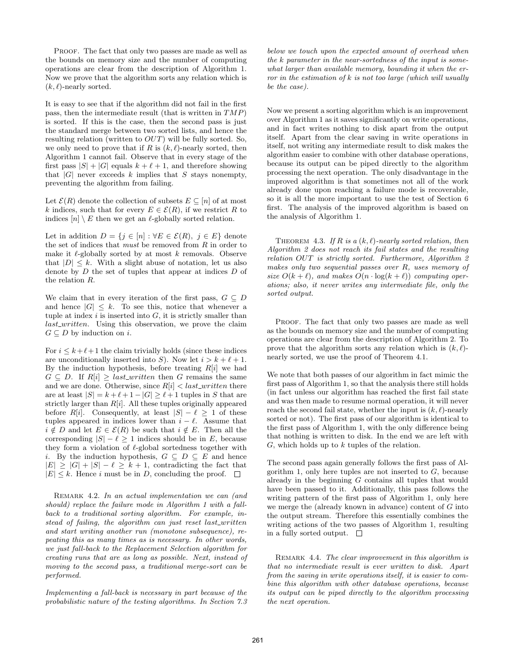PROOF. The fact that only two passes are made as well as the bounds on memory size and the number of computing operations are clear from the description of Algorithm 1. Now we prove that the algorithm sorts any relation which is  $(k, \ell)$ -nearly sorted.

It is easy to see that if the algorithm did not fail in the first pass, then the intermediate result (that is written in  $TMP$ ) is sorted. If this is the case, then the second pass is just the standard merge between two sorted lists, and hence the resulting relation (written to  $OUT$ ) will be fully sorted. So, we only need to prove that if R is  $(k, \ell)$ -nearly sorted, then Algorithm 1 cannot fail. Observe that in every stage of the first pass  $|S| + |G|$  equals  $k + \ell + 1$ , and therefore showing that  $|G|$  never exceeds k implies that S stays nonempty, preventing the algorithm from failing.

Let  $\mathcal{E}(R)$  denote the collection of subsets  $E \subseteq [n]$  of at most k indices, such that for every  $E \in \mathcal{E}(R)$ , if we restrict R to indices  $[n] \setminus E$  then we get an  $\ell$ -globally sorted relation.

Let in addition  $D = \{j \in [n] : \forall E \in \mathcal{E}(R), j \in E\}$  denote the set of indices that must be removed from  $R$  in order to make it  $\ell$ -globally sorted by at most k removals. Observe that  $|D| \leq k$ . With a slight abuse of notation, let us also denote by  $D$  the set of tuples that appear at indices  $D$  of the relation R.

We claim that in every iteration of the first pass,  $G \subseteq D$ and hence  $|G| \leq k$ . To see this, notice that whenever a tuple at index  $i$  is inserted into  $G$ , it is strictly smaller than last\_written. Using this observation, we prove the claim  $G \subseteq D$  by induction on *i*.

For  $i \leq k+\ell+1$  the claim trivially holds (since these indices are unconditionally inserted into S). Now let  $i > k + \ell + 1$ . By the induction hypothesis, before treating  $R[i]$  we had  $G \subseteq D$ . If  $R[i] \geq last\_written$  then G remains the same and we are done. Otherwise, since  $R[i] < last\_written$  there are at least  $|S| = k + \ell + 1 - |G| \ge \ell + 1$  tuples in S that are strictly larger than  $R[i]$ . All these tuples originally appeared before R[i]. Consequently, at least  $|S| - \ell \geq 1$  of these tuples appeared in indices lower than  $i - \ell$ . Assume that  $i \notin D$  and let  $E \in \mathcal{E}(R)$  be such that  $i \notin E$ . Then all the corresponding  $|S| - \ell \ge 1$  indices should be in E, because they form a violation of  $\ell$ -global sortedness together with i. By the induction hypothesis,  $G \subseteq D \subseteq E$  and hence  $|E| \geq |G| + |S| - \ell \geq k + 1$ , contradicting the fact that  $|E| \leq k$ . Hence *i* must be in *D*, concluding the proof.  $\square$ 

REMARK 4.2. In an actual implementation we can (and should) replace the failure mode in Algorithm 1 with a fallback to a traditional sorting algorithm. For example, instead of failing, the algorithm can just reset last\_written and start writing another run (monotone subsequence), repeating this as many times as is necessary. In other words, we just fall-back to the Replacement Selection algorithm for creating runs that are as long as possible. Next, instead of moving to the second pass, a traditional merge-sort can be performed.

Implementing a fall-back is necessary in part because of the probabilistic nature of the testing algorithms. In Section 7.3 below we touch upon the expected amount of overhead when the k parameter in the near-sortedness of the input is somewhat larger than available memory, bounding it when the error in the estimation of  $k$  is not too large (which will usually be the case).

Now we present a sorting algorithm which is an improvement over Algorithm 1 as it saves significantly on write operations, and in fact writes nothing to disk apart from the output itself. Apart from the clear saving in write operations in itself, not writing any intermediate result to disk makes the algorithm easier to combine with other database operations, because its output can be piped directly to the algorithm processing the next operation. The only disadvantage in the improved algorithm is that sometimes not all of the work already done upon reaching a failure mode is recoverable, so it is all the more important to use the test of Section 6 first. The analysis of the improved algorithm is based on the analysis of Algorithm 1.

THEOREM 4.3. If R is a  $(k, \ell)$ -nearly sorted relation, then Algorithm 2 does not reach its fail states and the resulting relation OUT is strictly sorted. Furthermore, Algorithm 2 makes only two sequential passes over R, uses memory of size  $O(k + \ell)$ , and makes  $O(n \cdot \log(k + \ell))$  computing operations; also, it never writes any intermediate file, only the sorted output.

PROOF. The fact that only two passes are made as well as the bounds on memory size and the number of computing operations are clear from the description of Algorithm 2. To prove that the algorithm sorts any relation which is  $(k, \ell)$ nearly sorted, we use the proof of Theorem 4.1.

We note that both passes of our algorithm in fact mimic the first pass of Algorithm 1, so that the analysis there still holds (in fact unless our algorithm has reached the first fail state and was then made to resume normal operation, it will never reach the second fail state, whether the input is  $(k, \ell)$ -nearly sorted or not). The first pass of our algorithm is identical to the first pass of Algorithm 1, with the only difference being that nothing is written to disk. In the end we are left with  $G$ , which holds up to  $k$  tuples of the relation.

The second pass again generally follows the first pass of Algorithm 1, only here tuples are not inserted to  $G$ , because already in the beginning  $G$  contains all tuples that would have been passed to it. Additionally, this pass follows the writing pattern of the first pass of Algorithm 1, only here we merge the (already known in advance) content of G into the output stream. Therefore this essentially combines the writing actions of the two passes of Algorithm 1, resulting in a fully sorted output.  $\Box$ 

REMARK 4.4. The clear improvement in this algorithm is that no intermediate result is ever written to disk. Apart from the saving in write operations itself, it is easier to combine this algorithm with other database operations, because its output can be piped directly to the algorithm processing the next operation.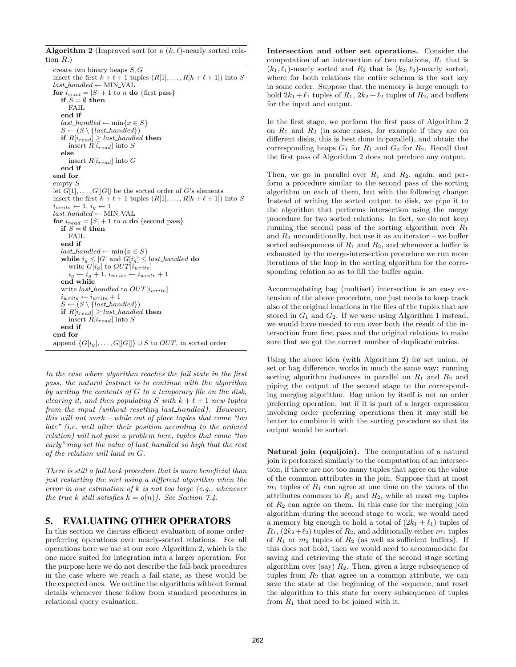**Algorithm 2** (Improved sort for a  $(k, \ell)$ -nearly sorted relation  $R$ .) create two binary heaps  $S, G$ insert the first  $k + \ell + 1$  tuples  $(R[1], \ldots, R[k + \ell + 1])$  into S  $last\_handled \leftarrow \text{MIN\_VAL}$ for  $i_{read} = |S| + 1$  to n do {first pass} if  $S = \emptyset$  then FAIL end if  $last\_handled \leftarrow min\{x \in S\}$  $S \leftarrow (S \setminus \{last\_handled\})$ if  $R[i_{read}] \geq last\_handled$  then insert  $R[i_{read}]$  into S else insert $R[i_{read}]$  into  $G$ end if end for empty S let  $G[1], \ldots, G[|G|]$  be the sorted order of G's elements insert the first  $k + \ell + 1$  tuples  $(R[1], \ldots, R[k + \ell + 1])$  into S  $i_{write} \leftarrow 1, i_q \leftarrow 1$  $last\_handled \leftarrow MIN\_VAL$ for  $i_{read} = |S| + 1$  to n do {second pass} if  $S = \emptyset$  then FAIL end if  $last\_handled \leftarrow min\{x \in S\}$ while  $i_g \leq |G|$  and  $\tilde{G}[i_g] \leq$  *last\_handled* do write  $G[i_g]$  to  $OUT[i_{write}]$  $i_g \leftarrow i_g + 1, i_{write} \leftarrow i_{write} + 1$ end while write *last\_handled* to  $OUT[iwrite]$  $i_{write} \leftarrow i_{write} + 1$  $S \leftarrow (S \setminus \{last\_handled\})$ if  $R[i_{read}] \geq last\_handling$  then insert  $R[i_{read}]$  into S end if end for append  $\{G[i_g], \ldots, G[|G|]\} \cup S$  to  $OUT$ , in sorted order

In the case where algorithm reaches the fail state in the first pass, the natural instinct is to continue with the algorithm by writing the contents of  $G$  to a temporary file on the disk, clearing it, and then populating S with  $k + \ell + 1$  new tuples from the input (without resetting last handled). However, this will not work – while out of place tuples that come "too late" (i.e. well after their position according to the ordered relation) will not pose a problem here, tuples that come "too early" may set the value of last\_handled so high that the rest of the relation will land in G.

There is still a fall back procedure that is more beneficial than just restarting the sort using a different algorithm when the error in our estimation of  $k$  is not too large (e.g., whenever the true k still satisfies  $k = o(n)$ . See Section 7.4.

# 5. EVALUATING OTHER OPERATORS

In this section we discuss efficient evaluation of some orderpreferring operations over nearly-sorted relations. For all operations here we use at our core Algorithm 2, which is the one more suited for integration into a larger operation. For the purpose here we do not describe the fall-back procedures in the case where we reach a fail state, as these would be the expected ones. We outline the algorithms without formal details whenever these follow from standard procedures in relational query evaluation.

Intersection and other set operations. Consider the computation of an intersection of two relations,  $R_1$  that is  $(k_1, \ell_1)$ -nearly sorted and  $R_2$  that is  $(k_2, \ell_2)$ -nearly sorted, where for both relations the entire schema is the sort key in some order. Suppose that the memory is large enough to hold  $2k_1 + \ell_1$  tuples of  $R_1$ ,  $2k_2 + \ell_2$  tuples of  $R_2$ , and buffers for the input and output.

In the first stage, we perform the first pass of Algorithm 2 on  $R_1$  and  $R_2$  (in some cases, for example if they are on different disks, this is best done in parallel), and obtain the corresponding heaps  $G_1$  for  $R_1$  and  $G_2$  for  $R_2$ . Recall that the first pass of Algorithm 2 does not produce any output.

Then, we go in parallel over  $R_1$  and  $R_2$ , again, and perform a procedure similar to the second pass of the sorting algorithm on each of them, but with the following change: Instead of writing the sorted output to disk, we pipe it to the algorithm that performs intersection using the merge procedure for two sorted relations. In fact, we do not keep running the second pass of the sorting algorithm over  $R_1$ and  $R_2$  unconditionally, but use it as an iterator – we buffer sorted subsequences of  $R_1$  and  $R_2$ , and whenever a buffer is exhausted by the merge-intersection procedure we run more iterations of the loop in the sorting algorithm for the corresponding relation so as to fill the buffer again.

Accommodating bag (multiset) intersection is an easy extension of the above procedure, one just needs to keep track also of the original locations in the files of the tuples that are stored in  $G_1$  and  $G_2$ . If we were using Algorithm 1 instead, we would have needed to run over both the result of the intersection from first pass and the original relations to make sure that we got the correct number of duplicate entries.

Using the above idea (with Algorithm 2) for set union, or set or bag difference, works in much the same way: running sorting algorithm instances in parallel on  $R_1$  and  $R_2$  and piping the output of the second stage to the corresponding merging algorithm. Bag union by itself is not an order preferring operation, but if it is part of a larger expression involving order preferring operations then it may still be better to combine it with the sorting procedure so that its output would be sorted.

Natural join (equijoin). The computation of a natural join is performed similarly to the computation of an intersection, if there are not too many tuples that agree on the value of the common attributes in the join. Suppose that at most  $m_1$  tuples of  $R_1$  can agree at one time on the values of the attributes common to  $R_1$  and  $R_2$ , while at most  $m_2$  tuples of  $R_2$  can agree on them. In this case for the merging join algorithm during the second stage to work, we would need a memory big enough to hold a total of  $(2k_1 + \ell_1)$  tuples of  $R_1$ ,  $(2k_2+\ell_2)$  tuples of  $R_2$ , and additionally either  $m_1$  tuples of  $R_1$  or  $m_2$  tuples of  $R_2$  (as well as sufficient buffers). If this does not hold, then we would need to accommodate for saving and retrieving the state of the second stage sorting algorithm over (say)  $R_2$ . Then, given a large subsequence of tuples from  $R_2$  that agree on a common attribute, we can save the state at the beginning of the sequence, and reset the algorithm to this state for every subsequence of tuples from  $R_1$  that need to be joined with it.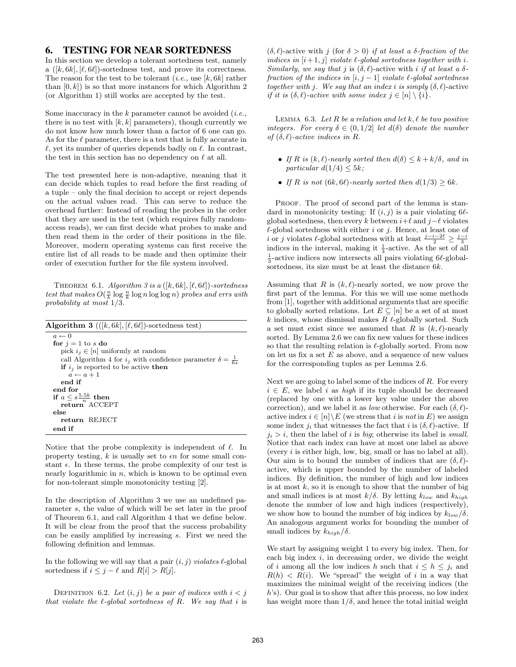## 6. TESTING FOR NEAR SORTEDNESS

In this section we develop a tolerant sortedness test, namely a  $([k, 6k], [\ell, 6\ell])$ -sortedness test, and prove its correctness. The reason for the test to be tolerant (*i.e.*, use  $[k, 6k]$  rather than  $[0, k]$  is so that more instances for which Algorithm 2 (or Algorithm 1) still works are accepted by the test.

Some inaccuracy in the  $k$  parameter cannot be avoided (*i.e.*, there is no test with  $[k, k]$  parameters), though currently we do not know how much lower than a factor of 6 one can go. As for the  $\ell$  parameter, there is a test that is fully accurate in  $\ell$ , yet its number of queries depends badly on  $\ell$ . In contrast, the test in this section has no dependency on  $\ell$  at all.

The test presented here is non-adaptive, meaning that it can decide which tuples to read before the first reading of a tuple – only the final decision to accept or reject depends on the actual values read. This can serve to reduce the overhead further: Instead of reading the probes in the order that they are used in the test (which requires fully randomaccess reads), we can first decide what probes to make and then read them in the order of their positions in the file. Moreover, modern operating systems can first receive the entire list of all reads to be made and then optimize their order of execution further for the file system involved.

THEOREM 6.1. Algorithm 3 is a  $([k, 6k], [\ell, 6\ell])$ -sortedness test that makes  $O(\frac{n}{k} \log \frac{n}{k} \log n \log \log n)$  probes and errs with probability at most 1/3.

| <b>Algorithm 3</b> (([k, 6k], [l, 6l])-sortedness test)                      |
|------------------------------------------------------------------------------|
| $a \leftarrow 0$                                                             |
| for $j = 1$ to s do                                                          |
| pick $i_j \in [n]$ uniformly at random                                       |
| call Algorithm 4 for $i_j$ with confidence parameter $\delta = \frac{1}{6s}$ |
| <b>if</b> $i_j$ is reported to be active <b>then</b>                         |
| $a \leftarrow a + 1$                                                         |
| end if                                                                       |
| end for                                                                      |
| if $a \leq s \frac{5.5k}{n}$ then                                            |
| return ACCEPT                                                                |
| else                                                                         |
| return REJECT                                                                |
| end if                                                                       |
|                                                                              |

Notice that the probe complexity is independent of  $\ell$ . In property testing, k is usually set to  $\epsilon n$  for some small constant  $\epsilon$ . In these terms, the probe complexity of our test is nearly logarithmic in  $n$ , which is known to be optimal even for non-tolerant simple monotonicity testing [2].

In the description of Algorithm 3 we use an undefined parameter s, the value of which will be set later in the proof of Theorem 6.1, and call Algorithm 4 that we define below. It will be clear from the proof that the success probability can be easily amplified by increasing s. First we need the following definition and lemmas.

In the following we will say that a pair  $(i, j)$  violates  $\ell$ -global sortedness if  $i \leq j - \ell$  and  $R[i] > R[j]$ .

DEFINITION 6.2. Let  $(i, j)$  be a pair of indices with  $i < j$ that violate the  $\ell$ -global sortedness of R. We say that i is  $(\delta, \ell)$ -active with j (for  $\delta > 0$ ) if at least a  $\delta$ -fraction of the indices in  $[i+1, j]$  violate  $\ell$ -global sortedness together with i. Similarly, we say that j is  $(\delta, \ell)$ -active with i if at least a  $\delta$ fraction of the indices in  $[i, j - 1]$  violate  $\ell$ -global sortedness together with j. We say that an index i is simply  $(\delta, \ell)$ -active if it is  $(\delta, \ell)$ -active with some index  $j \in [n] \setminus \{i\}.$ 

LEMMA 6.3. Let  $R$  be a relation and let  $k, \ell$  be two positive integers. For every  $\delta \in (0, 1/2]$  let  $d(\delta)$  denote the number of  $(\delta, \ell)$ -active indices in R.

- If R is  $(k, \ell)$ -nearly sorted then  $d(\delta) \leq k + k/\delta$ , and in particular  $d(1/4) \leq 5k$ ;
- If R is not  $(6k, 6\ell)$ -nearly sorted then  $d(1/3) \geq 6k$ .

PROOF. The proof of second part of the lemma is standard in monotonicity testing: If  $(i, j)$  is a pair violating 6 $\ell$ global sortedness, then every k between  $i+\ell$  and  $j-\ell$  violates  $\ell$ -global sortedness with either *i* or *j*. Hence, at least one of i or j violates  $\ell$ -global sortedness with at least  $\frac{j-i-2\ell}{2} \ge \frac{j-i}{3}$ indices in the interval, making it  $\frac{1}{3}$ -active. As the set of all  $\frac{1}{3}$ -active indices now intersects all pairs violating 6 $\ell$ -globalsortedness, its size must be at least the distance 6k.

Assuming that R is  $(k, \ell)$ -nearly sorted, we now prove the first part of the lemma. For this we will use some methods from [1], together with additional arguments that are specific to globally sorted relations. Let  $E \subseteq [n]$  be a set of at most  $k$  indices, whose dismissal makes  $R \ell$ -globally sorted. Such a set must exist since we assumed that R is  $(k, \ell)$ -nearly sorted. By Lemma 2.6 we can fix new values for these indices so that the resulting relation is  $\ell$ -globally sorted. From now on let us fix a set  $E$  as above, and a sequence of new values for the corresponding tuples as per Lemma 2.6.

Next we are going to label some of the indices of  $R$ . For every  $i \in E$ , we label i as high if its tuple should be decreased (replaced by one with a lower key value under the above correction), and we label it as *low* otherwise. For each  $(\delta, \ell)$ active index  $i \in [n] \backslash E$  (we stress that i is not in E) we assign some index  $j_i$  that witnesses the fact that i is  $(\delta, \ell)$ -active. If  $j_i > i$ , then the label of i is big; otherwise its label is small. Notice that each index can have at most one label as above (every i is either high, low, big, small or has no label at all). Our aim is to bound the number of indices that are  $(\delta, \ell)$ active, which is upper bounded by the number of labeled indices. By definition, the number of high and low indices is at most  $k$ , so it is enough to show that the number of big and small indices is at most  $k/\delta$ . By letting  $k_{low}$  and  $k_{high}$ denote the number of low and high indices (respectively), we show how to bound the number of big indices by  $k_{low}/\delta$ . An analogous argument works for bounding the number of small indices by  $k_{high}/\delta$ .

We start by assigning weight 1 to every big index. Then, for each big index  $i$ , in decreasing order, we divide the weight of i among all the low indices h such that  $i \leq h \leq j_i$  and  $R(h) < R(i)$ . We "spread" the weight of i in a way that maximizes the minimal weight of the receiving indices (the h's). Our goal is to show that after this process, no low index has weight more than  $1/\delta$ , and hence the total initial weight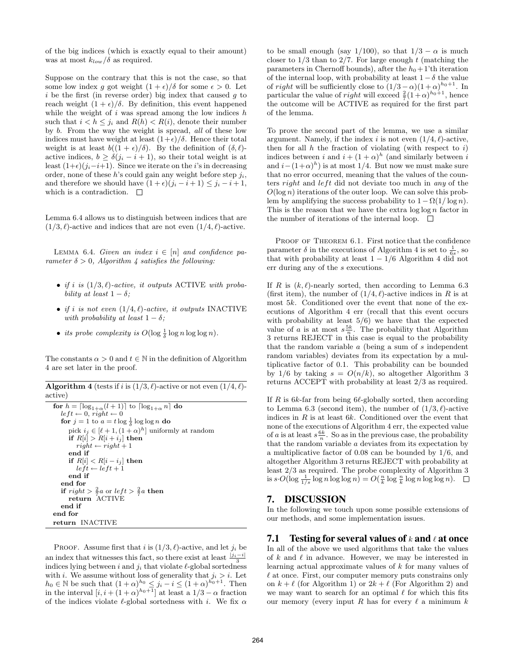of the big indices (which is exactly equal to their amount) was at most  $k_{low}/\delta$  as required.

Suppose on the contrary that this is not the case, so that some low index q got weight  $(1 + \epsilon)/\delta$  for some  $\epsilon > 0$ . Let i be the first (in reverse order) big index that caused  $q$  to reach weight  $(1 + \epsilon)/\delta$ . By definition, this event happened while the weight of  $i$  was spread among the low indices  $h$ such that  $i < h \leq j_i$  and  $R(h) < R(i)$ , denote their number by b. From the way the weight is spread, all of these low indices must have weight at least  $(1+\epsilon)/\delta$ . Hence their total weight is at least  $b((1 + \epsilon)/\delta)$ . By the definition of  $(\delta, \ell)$ active indices,  $b \geq \delta(j_i - i + 1)$ , so their total weight is at least  $(1+\epsilon)(j_i-i+1)$ . Since we iterate on the *i*'s in decreasing order, none of these  $h$ 's could gain any weight before step  $j_i$ , and therefore we should have  $(1 + \epsilon)(j_i - i + 1) \leq j_i - i + 1$ , which is a contradiction.  $\Box$ 

Lemma 6.4 allows us to distinguish between indices that are  $(1/3, \ell)$ -active and indices that are not even  $(1/4, \ell)$ -active.

LEMMA 6.4. Given an index  $i \in [n]$  and confidence parameter  $\delta > 0$ , Algorithm 4 satisfies the following:

- if i is  $(1/3, \ell)$ -active, it outputs ACTIVE with probability at least  $1 - \delta$ ;
- if i is not even  $(1/4, \ell)$ -active, it outputs INACTIVE with probability at least  $1 - \delta$ ;
- its probe complexity is  $O(\log \frac{1}{\delta} \log n \log \log n)$ .

The constants  $\alpha > 0$  and  $t \in \mathbb{N}$  in the definition of Algorithm 4 are set later in the proof.

**Algorithm 4** (tests if i is  $(1/3, \ell)$ -active or not even  $(1/4, \ell)$ active)

| for $h =  \log_{1+\alpha}(l+1) $ to $ \log_{1+\alpha} n $ do |
|--------------------------------------------------------------|
| $left \leftarrow 0$ , right $\leftarrow 0$                   |
| for $j = 1$ to $a = t \log \frac{1}{\lambda} \log \log n$ do |
| pick $i_j \in [\ell+1, (1+\alpha)^h]$ uniformly at random    |
| if $R[i] > R[i + i_j]$ then                                  |
| $right \leftarrow right + 1$                                 |
| end if                                                       |
| if $R[i] < R[i-i_j]$ then                                    |
| $left \leftarrow left + 1$                                   |
| end if                                                       |
| end for                                                      |
| if right $> \frac{2}{7}a$ or left $> \frac{2}{7}a$ then      |
| return ACTIVE                                                |
| end if                                                       |
| end for                                                      |
| return INACTIVE                                              |

PROOF. Assume first that i is  $(1/3, \ell)$ -active, and let  $j_i$  be an index that witnesses this fact, so there exist at least  $\frac{|j_i - i|}{3}$ indices lying between i and  $j_i$  that violate  $\ell$ -global sortedness with i. We assume without loss of generality that  $j_i > i$ . Let  $h_0 \in \mathbb{N}$  be such that  $(1+\alpha)^{h_0} \leq j_i - i \leq (1+\alpha)^{h_0+1}$ . Then in the interval  $[i, i + (1+\alpha)^{h_0+1}]$  at least a  $1/3 - \alpha$  fraction of the indices violate  $\ell$ -global sortedness with i. We fix  $\alpha$ 

to be small enough (say 1/100), so that  $1/3 - \alpha$  is much closer to  $1/3$  than to  $2/7$ . For large enough t (matching the parameters in Chernoff bounds), after the  $h_0+1$ 'th iteration of the internal loop, with probability at least  $1 - \delta$  the value of right will be sufficiently close to  $(1/3-\alpha)(1+\alpha)^{h_0+1}$ . In particular the value of right will exceed  $\frac{2}{7}(1+\alpha)^{h_0+1}$ , hence the outcome will be ACTIVE as required for the first part of the lemma.

To prove the second part of the lemma, we use a similar argument. Namely, if the index i is not even  $(1/4, \ell)$ -active, then for all  $h$  the fraction of violating (with respect to  $i$ ) indices between i and  $i + (1 + \alpha)^h$  (and similarly between i and  $i-(1+\alpha)^h$  is at most 1/4. But now we must make sure that no error occurred, meaning that the values of the counters right and  $left$  did not deviate too much in any of the  $O(\log n)$  iterations of the outer loop. We can solve this problem by amplifying the success probability to  $1 - \Omega(1/\log n)$ . This is the reason that we have the extra  $\log \log n$  factor in the number of iterations of the internal loop.  $\square$ 

PROOF OF THEOREM 6.1. First notice that the confidence parameter  $\delta$  in the executions of Algorithm 4 is set to  $\frac{1}{6s}$ , so that with probability at least  $1 - 1/6$  Algorithm 4 did not err during any of the s executions.

If R is  $(k, \ell)$ -nearly sorted, then according to Lemma 6.3 (first item), the number of  $(1/4, \ell)$ -active indices in R is at most 5k. Conditioned over the event that none of the executions of Algorithm 4 err (recall that this event occurs with probability at least  $5/6$ ) we have that the expected value of a is at most  $s \frac{5k}{n}$ . The probability that Algorithm 3 returns REJECT in this case is equal to the probability that the random variable  $a$  (being a sum of  $s$  independent random variables) deviates from its expectation by a multiplicative factor of 0.1. This probability can be bounded by 1/6 by taking  $s = O(n/k)$ , so altogether Algorithm 3 returns ACCEPT with probability at least 2/3 as required.

If R is  $6k$ -far from being  $6\ell$ -globally sorted, then according to Lemma 6.3 (second item), the number of  $(1/3, \ell)$ -active indices in  $R$  is at least  $6k$ . Conditioned over the event that none of the executions of Algorithm 4 err, the expected value of a is at least  $s \frac{6k}{n}$ . So as in the previous case, the probability that the random variable  $a$  deviates from its expectation by a multiplicative factor of 0.08 can be bounded by 1/6, and altogether Algorithm 3 returns REJECT with probability at least 2/3 as required. The probe complexity of Algorithm 3 is  $s \cdot O(\log \frac{1}{1/s} \log n \log \log n) = O(\frac{n}{k} \log \frac{n}{k} \log n \log \log n).$ 

## 7. DISCUSSION

In the following we touch upon some possible extensions of our methods, and some implementation issues.

## 7.1 Testing for several values of k and  $\ell$  at once

In all of the above we used algorithms that take the values of k and  $\ell$  in advance. However, we may be interested in learning actual approximate values of k for many values of  $\ell$  at once. First, our computer memory puts constrains only on  $k + \ell$  (for Algorithm 1) or  $2k + \ell$  (For Algorithm 2) and we may want to search for an optimal  $\ell$  for which this fits our memory (every input R has for every  $\ell$  a minimum k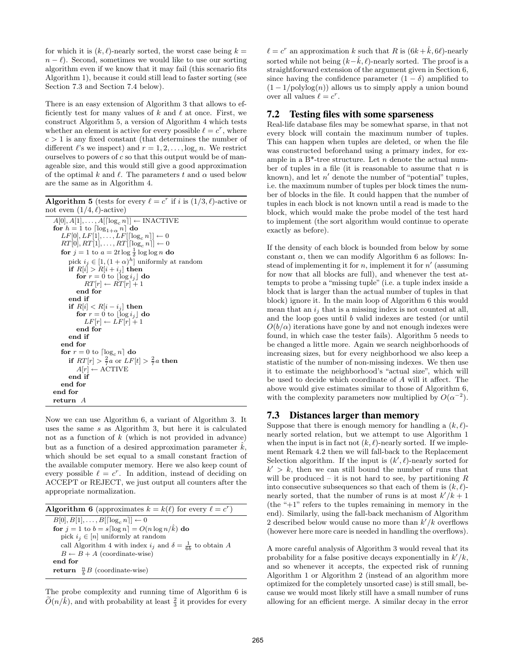for which it is  $(k, \ell)$ -nearly sorted, the worst case being  $k =$  $n - \ell$ ). Second, sometimes we would like to use our sorting algorithm even if we know that it may fail (this scenario fits Algorithm 1), because it could still lead to faster sorting (see Section 7.3 and Section 7.4 below).

There is an easy extension of Algorithm 3 that allows to efficiently test for many values of  $k$  and  $\ell$  at once. First, we construct Algorithm 5, a version of Algorithm 4 which tests whether an element is active for every possible  $\ell = c^r$ , where  $c > 1$  is any fixed constant (that determines the number of different  $\ell$ 's we inspect) and  $r = 1, 2, \ldots, \log_c n$ . We restrict ourselves to powers of  $c$  so that this output would be of manageable size, and this would still give a good approximation of the optimal k and  $\ell$ . The parameters t and  $\alpha$  used below are the same as in Algorithm 4.

**Algorithm 5** (tests for every  $\ell = c^r$  if i is  $(1/3, \ell)$ -active or not even  $(1/4, \ell)$ -active)

```
A[0], A[1], \ldots, A[\lceil \log_c n \rceil] \leftarrow \text{INACTIVE}for h = 1 to \lceil \log_{1+\alpha} n \rceil do
    LF[0], LF[1], \ldots, LF[[\log_c n]] \leftarrow 0RT[0], RT[1], \ldots, RT[\lceil \log_c n \rceil] \leftarrow 0for j = 1 to a = 2t \log \frac{1}{\delta} \log \log n do
       pick i_j \in [1, (1+\alpha)^h] uniformly at random
       if R[i] > R[i + i_j] then
          for r = 0 to \lfloor \log i_j \rfloor do
              RT[r] \leftarrow RT[r] + 1end for
       end if
       if R[i] < R[i - i_j] then
          for r = 0 to \lfloor \log i_j \rfloor do
              LF[r] \leftarrow LF[r] + 1end for
       end if
   end for
   for r = 0 to \lceil \log_c n \rceil do
       if RT[r] > \frac{2}{7}a or LF[t] > \frac{2}{7}a then
          A[r] \leftarrow ACTIVE
       end if
   end for
end for
return A
```
Now we can use Algorithm 6, a variant of Algorithm 3. It uses the same s as Algorithm 3, but here it is calculated not as a function of  $k$  (which is not provided in advance) but as a function of a desired approximation parameter  $\hat{k}$ , which should be set equal to a small constant fraction of the available computer memory. Here we also keep count of every possible  $\ell = c^r$ . In addition, instead of deciding on ACCEPT or REJECT, we just output all counters after the appropriate normalization.

| <b>Algorithm 6</b> (approximates $k = k(\ell)$ for every $\ell = c^r$ )   |  |
|---------------------------------------------------------------------------|--|
| $B[0], B[1], \ldots, B[ \lceil \log_c n \rceil] \leftarrow 0$             |  |
| for $j = 1$ to $b = s \lceil \log n \rceil = O(n \log n / \hat{k})$ do    |  |
| pick $i_j \in [n]$ uniformly at random                                    |  |
| call Algorithm 4 with index $i_j$ and $\delta = \frac{1}{6b}$ to obtain A |  |
| $B \leftarrow B + A$ (coordinate-wise)                                    |  |
| end for                                                                   |  |
| <b>return</b> $\frac{n}{b}B$ (coordinate-wise)                            |  |

The probe complexity and running time of Algorithm 6 is  $\widetilde{O}(n/\hat{k})$ , and with probability at least  $\frac{2}{3}$  it provides for every

 $\ell = c^r$  an approximation k such that R is  $(6k + \hat{k}, 6\ell)$ -nearly sorted while not being  $(k-\hat{k}, \ell)$ -nearly sorted. The proof is a straightforward extension of the argument given in Section 6, since having the confidence parameter  $(1 - \delta)$  amplified to  $(1 - 1/\text{polylog}(n))$  allows us to simply apply a union bound over all values  $\ell = c^r$ .

#### 7.2 Testing files with some sparseness

Real-life database files may be somewhat sparse, in that not every block will contain the maximum number of tuples. This can happen when tuples are deleted, or when the file was constructed beforehand using a primary index, for example in a  $B^*$ -tree structure. Let n denote the actual number of tuples in a file (it is reasonable to assume that  $n$  is known), and let  $n'$  denote the number of "potential" tuples, i.e. the maximum number of tuples per block times the number of blocks in the file. It could happen that the number of tuples in each block is not known until a read is made to the block, which would make the probe model of the test hard to implement (the sort algorithm would continue to operate exactly as before).

If the density of each block is bounded from below by some constant  $\alpha$ , then we can modify Algorithm 6 as follows: Instead of implementing it for  $n$ , implement it for  $n'$  (assuming for now that all blocks are full), and whenever the test attempts to probe a "missing tuple" (i.e. a tuple index inside a block that is larger than the actual number of tuples in that block) ignore it. In the main loop of Algorithm 6 this would mean that an  $i_j$  that is a missing index is not counted at all, and the loop goes until b valid indexes are tested (or until  $O(b/\alpha)$  iterations have gone by and not enough indexes were found, in which case the tester fails). Algorithm 5 needs to be changed a little more. Again we search neighborhoods of increasing sizes, but for every neighborhood we also keep a statistic of the number of non-missing indexes. We then use it to estimate the neighborhood's "actual size", which will be used to decide which coordinate of A will it affect. The above would give estimates similar to those of Algorithm 6, with the complexity parameters now multiplied by  $O(\alpha^{-2})$ .

## 7.3 Distances larger than memory

Suppose that there is enough memory for handling a  $(k, \ell)$ nearly sorted relation, but we attempt to use Algorithm 1 when the input is in fact not  $(k, \ell)$ -nearly sorted. If we implement Remark 4.2 then we will fall-back to the Replacement Selection algorithm. If the input is  $(k', \ell)$ -nearly sorted for  $k' > k$ , then we can still bound the number of runs that will be produced – it is not hard to see, by partitioning  $R$ into consecutive subsequences so that each of them is  $(k, \ell)$ nearly sorted, that the number of runs is at most  $k'/k + 1$ (the "+1" refers to the tuples remaining in memory in the end). Similarly, using the fall-back mechanism of Algorithm 2 described below would cause no more than  $k'/k$  overflows (however here more care is needed in handling the overflows).

A more careful analysis of Algorithm 3 would reveal that its probability for a false positive decays exponentially in  $k'/k$ , and so whenever it accepts, the expected risk of running Algorithm 1 or Algorithm 2 (instead of an algorithm more optimized for the completely unsorted case) is still small, because we would most likely still have a small number of runs allowing for an efficient merge. A similar decay in the error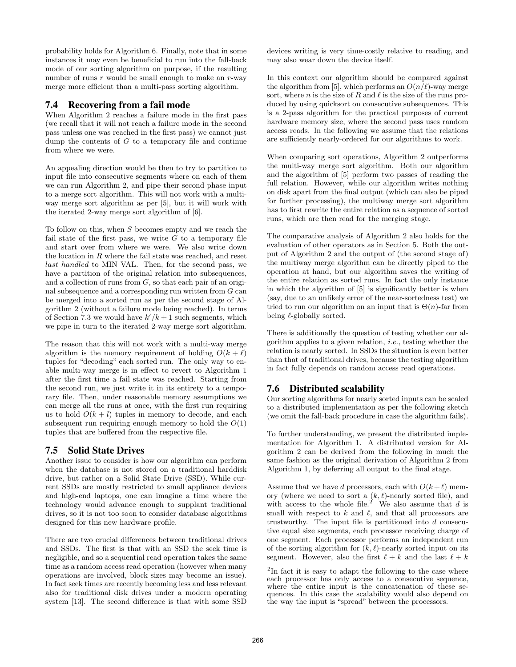probability holds for Algorithm 6. Finally, note that in some instances it may even be beneficial to run into the fall-back mode of our sorting algorithm on purpose, if the resulting number of runs  $r$  would be small enough to make an  $r$ -way merge more efficient than a multi-pass sorting algorithm.

# 7.4 Recovering from a fail mode

When Algorithm 2 reaches a failure mode in the first pass (we recall that it will not reach a failure mode in the second pass unless one was reached in the first pass) we cannot just dump the contents of  $G$  to a temporary file and continue from where we were.

An appealing direction would be then to try to partition to input file into consecutive segments where on each of them we can run Algorithm 2, and pipe their second phase input to a merge sort algorithm. This will not work with a multiway merge sort algorithm as per [5], but it will work with the iterated 2-way merge sort algorithm of [6].

To follow on this, when S becomes empty and we reach the fail state of the first pass, we write  $G$  to a temporary file and start over from where we were. We also write down the location in  $R$  where the fail state was reached, and reset last\_handled to MIN\_VAL. Then, for the second pass, we have a partition of the original relation into subsequences, and a collection of runs from  $G$ , so that each pair of an original subsequence and a corresponding run written from G can be merged into a sorted run as per the second stage of Algorithm 2 (without a failure mode being reached). In terms of Section 7.3 we would have  $k'/k+1$  such segments, which we pipe in turn to the iterated 2-way merge sort algorithm.

The reason that this will not work with a multi-way merge algorithm is the memory requirement of holding  $O(k + \ell)$ tuples for "decoding" each sorted run. The only way to enable multi-way merge is in effect to revert to Algorithm 1 after the first time a fail state was reached. Starting from the second run, we just write it in its entirety to a temporary file. Then, under reasonable memory assumptions we can merge all the runs at once, with the first run requiring us to hold  $O(k+l)$  tuples in memory to decode, and each subsequent run requiring enough memory to hold the  $O(1)$ tuples that are buffered from the respective file.

# 7.5 Solid State Drives

Another issue to consider is how our algorithm can perform when the database is not stored on a traditional harddisk drive, but rather on a Solid State Drive (SSD). While current SSDs are mostly restricted to small appliance devices and high-end laptops, one can imagine a time where the technology would advance enough to supplant traditional drives, so it is not too soon to consider database algorithms designed for this new hardware profile.

There are two crucial differences between traditional drives and SSDs. The first is that with an SSD the seek time is negligible, and so a sequential read operation takes the same time as a random access read operation (however when many operations are involved, block sizes may become an issue). In fact seek times are recently becoming less and less relevant also for traditional disk drives under a modern operating system [13]. The second difference is that with some SSD

devices writing is very time-costly relative to reading, and may also wear down the device itself.

In this context our algorithm should be compared against the algorithm from [5], which performs an  $O(n/\ell)$ -way merge sort, where n is the size of R and  $\ell$  is the size of the runs produced by using quicksort on consecutive subsequences. This is a 2-pass algorithm for the practical purposes of current hardware memory size, where the second pass uses random access reads. In the following we assume that the relations are sufficiently nearly-ordered for our algorithms to work.

When comparing sort operations, Algorithm 2 outperforms the multi-way merge sort algorithm. Both our algorithm and the algorithm of [5] perform two passes of reading the full relation. However, while our algorithm writes nothing on disk apart from the final output (which can also be piped for further processing), the multiway merge sort algorithm has to first rewrite the entire relation as a sequence of sorted runs, which are then read for the merging stage.

The comparative analysis of Algorithm 2 also holds for the evaluation of other operators as in Section 5. Both the output of Algorithm 2 and the output of (the second stage of) the multiway merge algorithm can be directly piped to the operation at hand, but our algorithm saves the writing of the entire relation as sorted runs. In fact the only instance in which the algorithm of [5] is significantly better is when (say, due to an unlikely error of the near-sortedness test) we tried to run our algorithm on an input that is  $\Theta(n)$ -far from being  $\ell$ -globally sorted.

There is additionally the question of testing whether our algorithm applies to a given relation, *i.e.*, testing whether the relation is nearly sorted. In SSDs the situation is even better than that of traditional drives, because the testing algorithm in fact fully depends on random access read operations.

# 7.6 Distributed scalability

Our sorting algorithms for nearly sorted inputs can be scaled to a distributed implementation as per the following sketch (we omit the fall-back procedure in case the algorithm fails).

To further understanding, we present the distributed implementation for Algorithm 1. A distributed version for Algorithm 2 can be derived from the following in much the same fashion as the original derivation of Algorithm 2 from Algorithm 1, by deferring all output to the final stage.

Assume that we have d processors, each with  $O(k+\ell)$  memory (where we need to sort a  $(k, \ell)$ -nearly sorted file), and with access to the whole file.<sup>2</sup> We also assume that d is small with respect to  $k$  and  $\ell$ , and that all processors are trustworthy. The input file is partitioned into d consecutive equal size segments, each processor receiving charge of one segment. Each processor performs an independent run of the sorting algorithm for  $(k, \ell)$ -nearly sorted input on its segment. However, also the first  $\ell + k$  and the last  $\ell + k$ 

<sup>&</sup>lt;sup>2</sup>In fact it is easy to adapt the following to the case where each processor has only access to a consecutive sequence, where the entire input is the concatenation of these sequences. In this case the scalability would also depend on the way the input is "spread" between the processors.